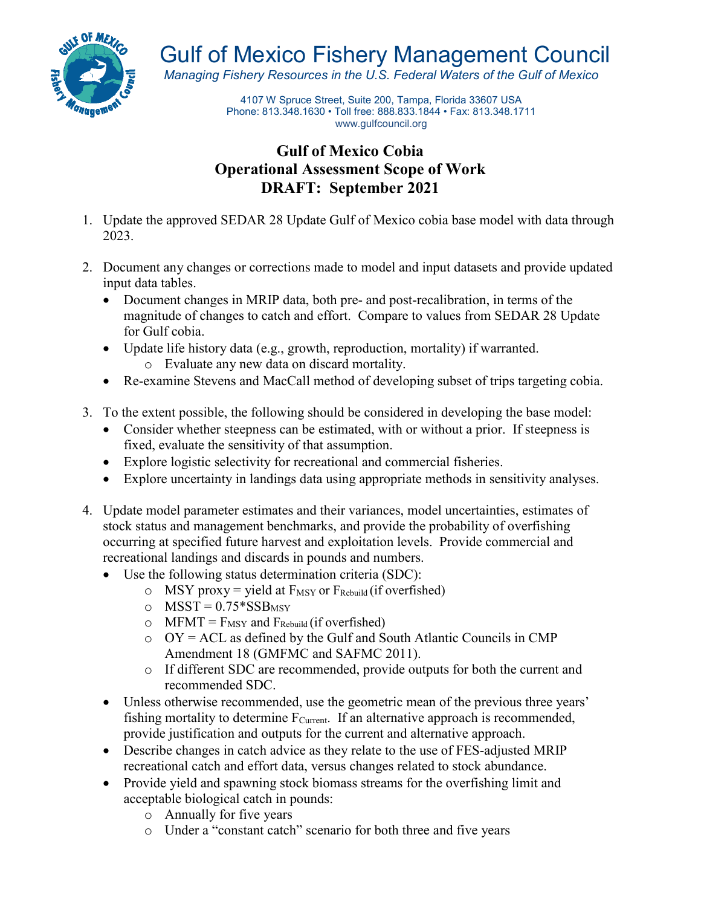

Gulf of Mexico Fishery Management Council

*Managing Fishery Resources in the U.S. Federal Waters of the Gulf of Mexico*

4107 W Spruce Street, Suite 200, Tampa, Florida 33607 USA Phone: 813.348.1630 • Toll free: 888.833.1844 • Fax: 813.348.1711 [www.gulfcouncil.org](http://www.gulfcouncil.org/)

## **Gulf of Mexico Cobia Operational Assessment Scope of Work DRAFT: September 2021**

- 1. Update the approved SEDAR 28 Update Gulf of Mexico cobia base model with data through 2023.
- 2. Document any changes or corrections made to model and input datasets and provide updated input data tables.
	- Document changes in MRIP data, both pre- and post-recalibration, in terms of the magnitude of changes to catch and effort. Compare to values from SEDAR 28 Update for Gulf cobia.
	- Update life history data (e.g., growth, reproduction, mortality) if warranted. o Evaluate any new data on discard mortality.
	- Re-examine Stevens and MacCall method of developing subset of trips targeting cobia.
- 3. To the extent possible, the following should be considered in developing the base model:
	- Consider whether steepness can be estimated, with or without a prior. If steepness is fixed, evaluate the sensitivity of that assumption.
	- Explore logistic selectivity for recreational and commercial fisheries.
	- Explore uncertainty in landings data using appropriate methods in sensitivity analyses.
- 4. Update model parameter estimates and their variances, model uncertainties, estimates of stock status and management benchmarks, and provide the probability of overfishing occurring at specified future harvest and exploitation levels. Provide commercial and recreational landings and discards in pounds and numbers.
	- Use the following status determination criteria (SDC):
		- $\circ$  MSY proxy = yield at  $F_{MSY}$  or  $F_{Rebuild}$  (if overfished)
		- $\circ$  MSST = 0.75\*SSB<sub>MSY</sub>
		- $\circ$  MFMT = F<sub>MSY</sub> and F<sub>Rebuild</sub> (if overfished)
		- $O = OY = ACL$  as defined by the Gulf and South Atlantic Councils in CMP Amendment 18 (GMFMC and SAFMC 2011).
		- o If different SDC are recommended, provide outputs for both the current and recommended SDC.
	- Unless otherwise recommended, use the geometric mean of the previous three years' fishing mortality to determine  $F_{Current}$ . If an alternative approach is recommended, provide justification and outputs for the current and alternative approach.
	- Describe changes in catch advice as they relate to the use of FES-adjusted MRIP recreational catch and effort data, versus changes related to stock abundance.
	- Provide yield and spawning stock biomass streams for the overfishing limit and acceptable biological catch in pounds:
		- o Annually for five years
		- o Under a "constant catch" scenario for both three and five years